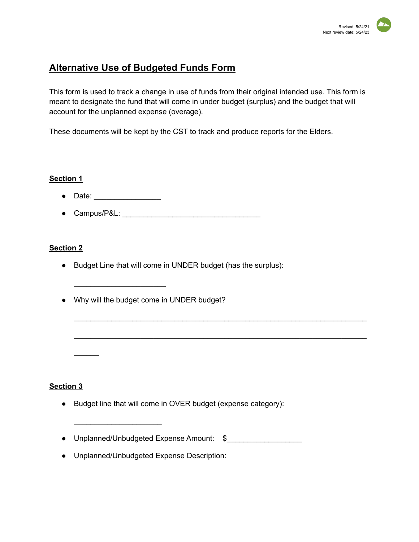# **Alternative Use of Budgeted Funds Form**

This form is used to track a change in use of funds from their original intended use. This form is meant to designate the fund that will come in under budget (surplus) and the budget that will account for the unplanned expense (overage).

\_\_\_\_\_\_\_\_\_\_\_\_\_\_\_\_\_\_\_\_\_\_\_\_\_\_\_\_\_\_\_\_\_\_\_\_\_\_\_\_\_\_\_\_\_\_\_\_\_\_\_\_\_\_\_\_\_\_\_\_\_\_\_\_\_\_\_\_\_\_

\_\_\_\_\_\_\_\_\_\_\_\_\_\_\_\_\_\_\_\_\_\_\_\_\_\_\_\_\_\_\_\_\_\_\_\_\_\_\_\_\_\_\_\_\_\_\_\_\_\_\_\_\_\_\_\_\_\_\_\_\_\_\_\_\_\_\_\_\_\_

These documents will be kept by the CST to track and produce reports for the Elders.

### **Section 1**

● Date: \_\_\_\_\_\_\_\_\_\_\_\_\_\_\_\_

 $\overline{\phantom{a}}$  , which is a set of the set of the set of the set of the set of the set of the set of the set of the set of the set of the set of the set of the set of the set of the set of the set of the set of the set of th

 $\overline{\phantom{a}}$  , which is a set of the set of the set of the set of the set of the set of the set of the set of the set of the set of the set of the set of the set of the set of the set of the set of the set of the set of th

● Campus/P&L: \_\_\_\_\_\_\_\_\_\_\_\_\_\_\_\_\_\_\_\_\_\_\_\_\_\_\_\_\_\_\_\_\_

## **Section 2**

- Budget Line that will come in UNDER budget (has the surplus):
- Why will the budget come in UNDER budget?

### **Section 3**

 $\mathcal{L}$ 

- Budget line that will come in OVER budget (expense category):
- Unplanned/Unbudgeted Expense Amount: \$\_\_\_\_\_\_\_\_\_\_\_\_\_\_\_\_\_\_
- Unplanned/Unbudgeted Expense Description: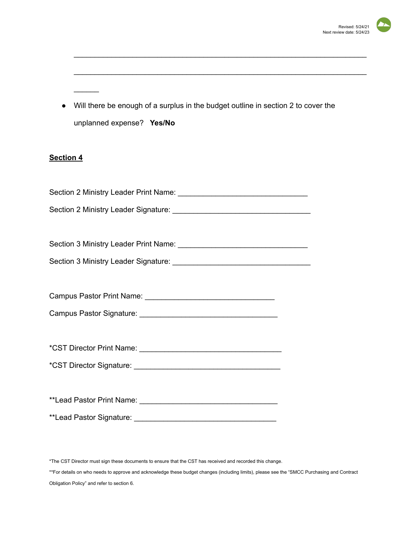

● Will there be enough of a surplus in the budget outline in section 2 to cover the unplanned expense? **Yes/No**

\_\_\_\_\_\_\_\_\_\_\_\_\_\_\_\_\_\_\_\_\_\_\_\_\_\_\_\_\_\_\_\_\_\_\_\_\_\_\_\_\_\_\_\_\_\_\_\_\_\_\_\_\_\_\_\_\_\_\_\_\_\_\_\_\_\_\_\_\_\_

\_\_\_\_\_\_\_\_\_\_\_\_\_\_\_\_\_\_\_\_\_\_\_\_\_\_\_\_\_\_\_\_\_\_\_\_\_\_\_\_\_\_\_\_\_\_\_\_\_\_\_\_\_\_\_\_\_\_\_\_\_\_\_\_\_\_\_\_\_\_

## **Section 4**

 $\overline{\phantom{a}}$ 

\*The CST Director must sign these documents to ensure that the CST has received and recorded this change. \*\*For details on who needs to approve and acknowledge these budget changes (including limits), please see the "SMCC Purchasing and Contract Obligation Policy" and refer to section 6.